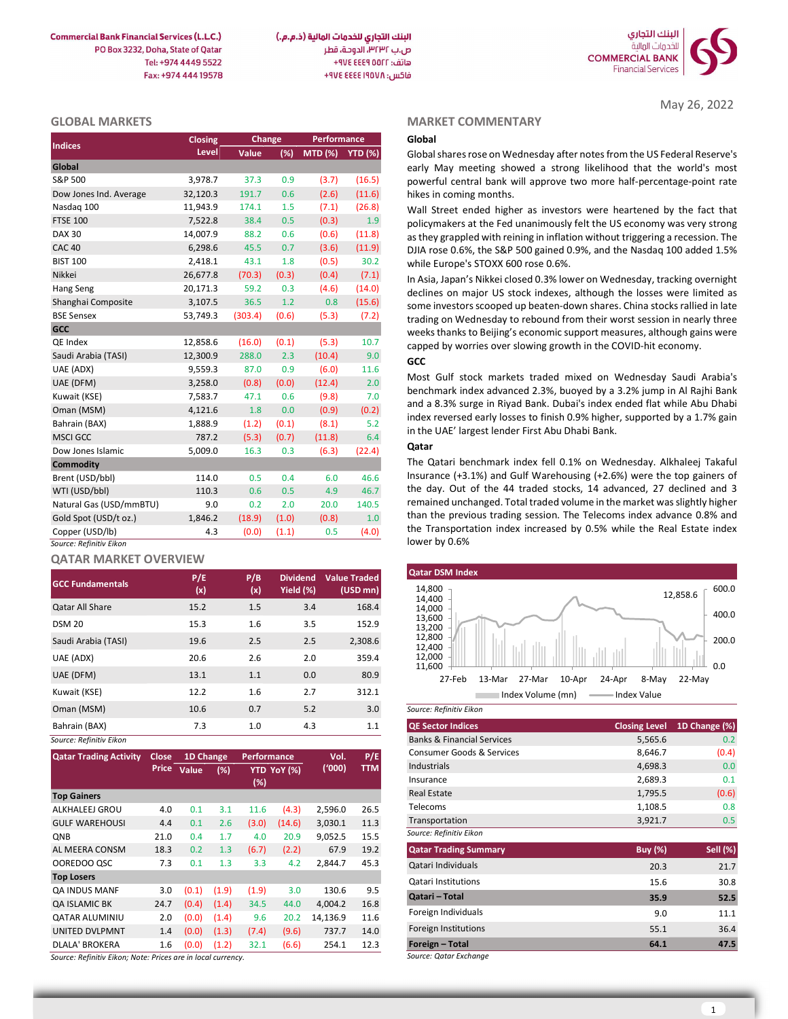

May 26, 2022

| <b>GLOBAL MARKETS</b>   |          |         |        |                 |        | <b>MARKET COMMENTARY</b>                                                                                                                  |
|-------------------------|----------|---------|--------|-----------------|--------|-------------------------------------------------------------------------------------------------------------------------------------------|
|                         | Closing  |         | Change | Performance     |        | Global                                                                                                                                    |
| <b>Indices</b>          | Level    | Value   | (%)    | MTD (%) YTD (%) |        | Global shares rose on Wednesday after notes from the US Federal Reserve's                                                                 |
| Global                  |          |         |        |                 |        | early May meeting showed a strong likelihood that the world's most                                                                        |
| S&P 500                 | 3,978.7  | 37.3    | 0.9    | (3.7)           | (16.5) | powerful central bank will approve two more half-percentage-point rate                                                                    |
| Dow Jones Ind. Average  | 32,120.3 | 191.7   | 0.6    | (2.6)           | (11.6) | hikes in coming months.                                                                                                                   |
| Nasdaq 100              | 11,943.9 | 174.1   | 1.5    | (7.1)           | (26.8) | Wall Street ended higher as investors were heartened by the fact that                                                                     |
| <b>FTSE 100</b>         | 7,522.8  | 38.4    | 0.5    | (0.3)           | 1.9    | policymakers at the Fed unanimously felt the US economy was very strong                                                                   |
| <b>DAX 30</b>           | 14,007.9 | 88.2    | 0.6    | (0.6)           | (11.8) | as they grappled with reining in inflation without triggering a recession. The                                                            |
| <b>CAC 40</b>           | 6,298.6  | 45.5    | 0.7    | (3.6)           | (11.9) | DJIA rose 0.6%, the S&P 500 gained 0.9%, and the Nasdaq 100 added 1.5%                                                                    |
| <b>BIST 100</b>         | 2,418.1  | 43.1    | 1.8    | (0.5)           | 30.2   | while Europe's STOXX 600 rose 0.6%.                                                                                                       |
| Nikkei                  | 26,677.8 | (70.3)  | (0.3)  | (0.4)           | (7.1)  | In Asia, Japan's Nikkei closed 0.3% lower on Wednesday, tracking overnight                                                                |
| Hang Seng               | 20,171.3 | 59.2    | 0.3    | (4.6)           | (14.0) | declines on major US stock indexes, although the losses were limited as                                                                   |
| Shanghai Composite      | 3,107.5  | 36.5    | 1.2    | 0.8             | (15.6) | some investors scooped up beaten-down shares. China stocks rallied in late                                                                |
| <b>BSE Sensex</b>       | 53,749.3 | (303.4) | (0.6)  | (5.3)           | (7.2)  | trading on Wednesday to rebound from their worst session in nearly three                                                                  |
| <b>GCC</b>              |          |         |        |                 |        | weeks thanks to Beijing's economic support measures, although gains were                                                                  |
| QE Index                | 12,858.6 | (16.0)  | (0.1)  | (5.3)           | 10.7   | capped by worries over slowing growth in the COVID-hit economy.                                                                           |
| Saudi Arabia (TASI)     | 12,300.9 | 288.0   | 2.3    | (10.4)          | 9.0    | <b>GCC</b>                                                                                                                                |
| UAE (ADX)               | 9,559.3  | 87.0    | 0.9    | (6.0)           | 11.6   |                                                                                                                                           |
| UAE (DFM)               | 3,258.0  | (0.8)   | (0.0)  | (12.4)          | 2.0    | Most Gulf stock markets traded mixed on Wednesday Saudi Arabia's<br>benchmark index advanced 2.3%, buoyed by a 3.2% jump in Al Rajhi Bank |
| Kuwait (KSE)            | 7,583.7  | 47.1    | 0.6    | (9.8)           | 7.0    | and a 8.3% surge in Riyad Bank. Dubai's index ended flat while Abu Dhabi                                                                  |
| Oman (MSM)              | 4,121.6  | 1.8     | 0.0    | (0.9)           | (0.2)  | index reversed early losses to finish 0.9% higher, supported by a 1.7% gain                                                               |
| Bahrain (BAX)           | 1,888.9  | (1.2)   | (0.1)  | (8.1)           | 5.2    | in the UAE' largest lender First Abu Dhabi Bank.                                                                                          |
| <b>MSCI GCC</b>         | 787.2    | (5.3)   | (0.7)  | (11.8)          | 6.4    |                                                                                                                                           |
| Dow Jones Islamic       | 5,009.0  | 16.3    | 0.3    | (6.3)           | (22.4) | Qatar                                                                                                                                     |
| <b>Commodity</b>        |          |         |        |                 |        | The Qatari benchmark index fell 0.1% on Wednesday. Alkhaleej Takaful                                                                      |
| Brent (USD/bbl)         | 114.0    | 0.5     | 0.4    | 6.0             | 46.6   | Insurance $(+3.1\%)$ and Gulf Warehousing $(+2.6\%)$ were the top gainers of                                                              |
| WTI (USD/bbl)           | 110.3    | 0.6     | 0.5    | 4.9             | 46.7   | the day. Out of the 44 traded stocks, 14 advanced, 27 declined and 3                                                                      |
| Natural Gas (USD/mmBTU) | 9.0      | 0.2     | 2.0    | 20.0            | 140.5  | remained unchanged. Total traded volume in the market was slightly higher                                                                 |
| Gold Spot (USD/t oz.)   | 1,846.2  | (18.9)  | (1.0)  | (0.8)           | 1.0    | than the previous trading session. The Telecoms index advance 0.8% and                                                                    |
| Copper (USD/lb)         | 4.3      | (0.0)   | (1.1)  | 0.5             | (4.0)  | the Transportation index increased by 0.5% while the Real Estate index                                                                    |
| Source: Refinitiv Eikon |          |         |        |                 |        | lower by 0.6%                                                                                                                             |

# QATAR MARKET OVERVIEW

| <b>GCC Fundamentals</b> | P/E<br>(x) | P/B<br>(x) | <b>Dividend</b><br>Yield (%) | <b>Value Traded</b><br>(USD mn) | <b>Qatar DSM Index</b><br>14,800<br>12,858.6                                |
|-------------------------|------------|------------|------------------------------|---------------------------------|-----------------------------------------------------------------------------|
| <b>Qatar All Share</b>  | 15.2       | 1.5        | 3.4                          | 168.4                           | 14,400<br>14,000                                                            |
| <b>DSM 20</b>           | 15.3       | 1.6        | 3.5                          | 152.9                           | 13,600<br>13,200                                                            |
| Saudi Arabia (TASI)     | 19.6       | 2.5        | 2.5                          | 2,308.6                         | 12,800<br>12,400                                                            |
| UAE (ADX)               | 20.6       | 2.6        | 2.0                          | 359.4                           | 12,000                                                                      |
| UAE (DFM)               | 13.1       | 1.1        | 0.0                          | 80.9                            | 11,600<br>$22-M$<br>27-Feb<br>27-Mar<br>13-Mar<br>10-Apr<br>24-Apr<br>8-May |
| Kuwait (KSE)            | 12.2       | 1.6        | 2.7                          | 312.1                           | Index Volume (mn)<br>Index Value                                            |
| Oman (MSM)              | 10.6       | 0.7        | 5.2                          | 3.0                             | Source: Refinitiv Eikon                                                     |
| Bahrain (BAX)           | 7.3        | 1.0        | 4.3                          | 1.1                             | <b>QE Sector Indices</b><br><b>Closing Level</b><br>1D <sub>Ch</sub>        |
| Source: Refinitiv Eikon |            |            |                              |                                 | <b>Banks &amp; Financial Services</b><br>5,565.6                            |

| <b>Qatar Trading Activity</b> | Close, | 1D Change   |       | <b>Performance</b> |             | Vol.     | P/E        |
|-------------------------------|--------|-------------|-------|--------------------|-------------|----------|------------|
|                               |        | Price Value | (%)   |                    | YTD YoY (%) | (000)    | <b>TTM</b> |
|                               |        |             |       | (%)                |             |          |            |
| <b>Top Gainers</b>            |        |             |       |                    |             |          |            |
| ALKHALEEJ GROU                | 4.0    | 0.1         | 3.1   | 11.6               | (4.3)       | 2,596.0  | 26.5       |
| <b>GULF WAREHOUSI</b>         | 4.4    | 0.1         | 2.6   | (3.0)              | (14.6)      | 3,030.1  | 11.3       |
| <b>ONB</b>                    | 21.0   | 0.4         | 1.7   | 4.0                | 20.9        | 9,052.5  | 15.5       |
| AL MEERA CONSM                | 18.3   | 0.2         | 1.3   | (6.7)              | (2.2)       | 67.9     | 19.2       |
| OOREDOO QSC                   | 7.3    | 0.1         | 1.3   | 3.3                | 4.2         | 2,844.7  | 45.3       |
| <b>Top Losers</b>             |        |             |       |                    |             |          |            |
| <b>QA INDUS MANF</b>          | 3.0    | (0.1)       | (1.9) | (1.9)              | 3.0         | 130.6    | 9.5        |
| <b>QA ISLAMIC BK</b>          | 24.7   | (0.4)       | (1.4) | 34.5               | 44.0        | 4,004.2  | 16.8       |
| <b>QATAR ALUMINIU</b>         | 2.0    | (0.0)       | (1.4) | 9.6                | 20.2        | 14,136.9 | 11.6       |
| <b>UNITED DVLPMNT</b>         | 1.4    | (0.0)       | (1.3) | (7.4)              | (9.6)       | 737.7    | 14.0       |
| DLALA' BROKERA                | 1.6    | (0.0)       | (1.2) | 32.1               | (6.6)       | 254.1    | 12.3       |

Source: Refinitiv Eikon; Note: Prices are in local currency.

#### MARKET COMMENTARY

# **GCC**

## Qatar



| 7.3       |                       | 1.0         |             | 4.3      | 1.1        | <b>QE Sector Indices</b>              | <b>Closing Level</b> | 1D Change (%) |
|-----------|-----------------------|-------------|-------------|----------|------------|---------------------------------------|----------------------|---------------|
|           |                       |             |             |          |            | <b>Banks &amp; Financial Services</b> | 5,565.6              | 0.2           |
| 1D Change |                       | Performance |             | Vol.     | P/E        | <b>Consumer Goods &amp; Services</b>  | 8,646.7              | (0.4)         |
| Value     | (%)                   |             | YTD YoY (%) | ('000)   | <b>TTM</b> | Industrials                           | 4,698.3              | 0.0           |
|           |                       | (%)         |             |          |            | Insurance                             | 2,689.3              | 0.1           |
|           |                       |             |             |          |            | <b>Real Estate</b>                    | 1,795.5              | (0.6)         |
| 0.1       | 3.1                   | 11.6        | (4.3)       | 2,596.0  | 26.5       | Telecoms                              | 1,108.5              | 0.8           |
| 0.1       | 2.6                   | (3.0)       | (14.6)      | 3,030.1  | 11.3       | Transportation                        | 3,921.7              | 0.5           |
| 0.4       | 1.7                   | 4.0         | 20.9        | 9,052.5  | 15.5       | Source: Refinitiv Eikon               |                      |               |
| 0.2       | 1.3                   | (6.7)       | (2.2)       | 67.9     | 19.2       | <b>Qatar Trading Summary</b>          | <b>Buy (%)</b>       | Sell (%)      |
| 0.1       | 1.3                   | 3.3         | 4.2         | 2,844.7  | 45.3       | Qatari Individuals                    | 20.3                 | 21.7          |
|           |                       |             |             |          |            | <b>Qatari Institutions</b>            | 15.6                 | 30.8          |
| (0.1)     | (1.9)                 | (1.9)       | 3.0         | 130.6    | 9.5        | Qatari - Total                        | 35.9                 | 52.5          |
| (0.4)     | (1.4)                 | 34.5        | 44.0        | 4,004.2  | 16.8       |                                       |                      |               |
| (0.0)     | (1.4)                 | 9.6         | 20.2        | 14,136.9 | 11.6       | Foreign Individuals                   | 9.0                  | 11.1          |
| (0.0)     | (1.3)                 | (7.4)       | (9.6)       | 737.7    | 14.0       | <b>Foreign Institutions</b>           | 55.1                 | 36.4          |
| (0.0)     | (1.2)                 | 32.1        | (6.6)       | 254.1    | 12.3       | Foreign - Total                       | 64.1                 | 47.5          |
|           | re in local currency. |             |             |          |            | Source: Qatar Exchange                |                      |               |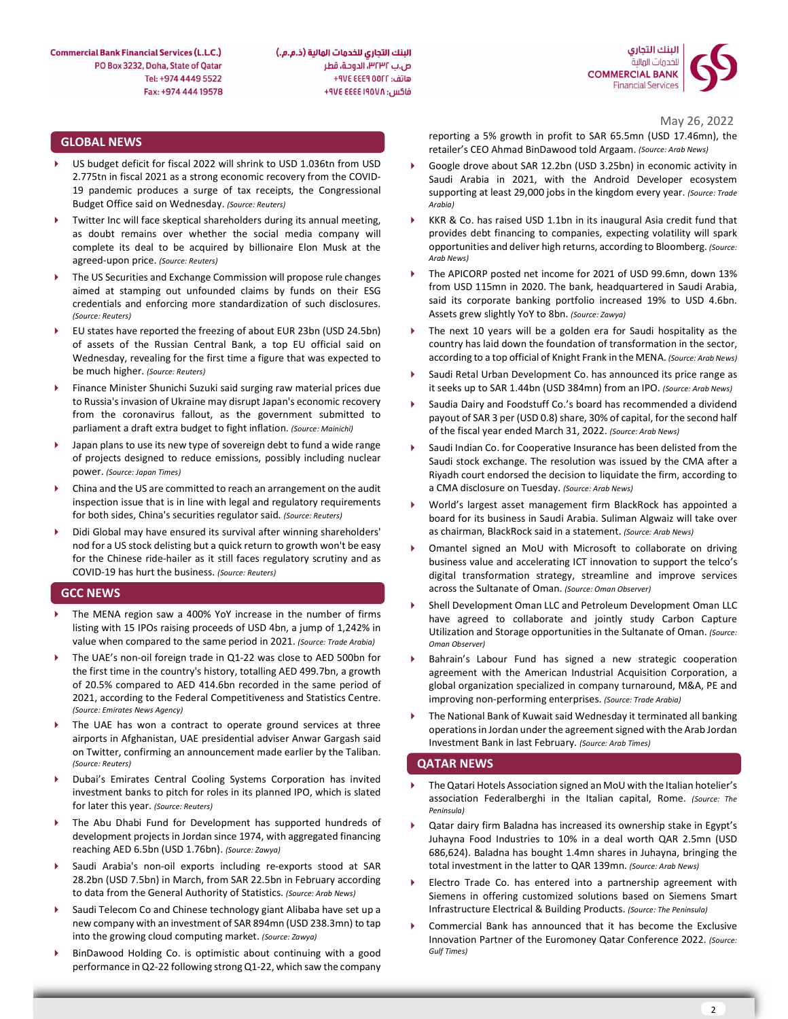

**Commercial Bank Financial Services (L.L.C.)** PO Box 3232, Doha, State of Qatar Tel: +974 4449 5522 Fax: +974 444 19578 البنك التجاري للخدمات المالية (ذ.م.م.) ص.ب ٣٢٣٢، الدوحة، قطر هاتف: AVE EEE 9 00FF+ فاكس: ٩٧٤ ٤٤٤٤ ٤٧٤ +

### GLOBAL NEWS

- US budget deficit for fiscal 2022 will shrink to USD 1.036tn from USD 2.775tn in fiscal 2021 as a strong economic recovery from the COVID-19 pandemic produces a surge of tax receipts, the Congressional Budget Office said on Wednesday. (Source: Reuters)
- Twitter Inc will face skeptical shareholders during its annual meeting, as doubt remains over whether the social media company will complete its deal to be acquired by billionaire Elon Musk at the agreed-upon price. (Source: Reuters)
- The US Securities and Exchange Commission will propose rule changes aimed at stamping out unfounded claims by funds on their ESG credentials and enforcing more standardization of such disclosures. (Source: Reuters)
- EU states have reported the freezing of about EUR 23bn (USD 24.5bn) of assets of the Russian Central Bank, a top EU official said on Wednesday, revealing for the first time a figure that was expected to be much higher. (Source: Reuters)
- Finance Minister Shunichi Suzuki said surging raw material prices due to Russia's invasion of Ukraine may disrupt Japan's economic recovery from the coronavirus fallout, as the government submitted to parliament a draft extra budget to fight inflation. (Source: Mainichi)
- Japan plans to use its new type of sovereign debt to fund a wide range of projects designed to reduce emissions, possibly including nuclear power. (Source: Japan Times)
- China and the US are committed to reach an arrangement on the audit inspection issue that is in line with legal and regulatory requirements for both sides, China's securities regulator said. (Source: Reuters)
- Didi Global may have ensured its survival after winning shareholders' nod for a US stock delisting but a quick return to growth won't be easy for the Chinese ride-hailer as it still faces regulatory scrutiny and as COVID-19 has hurt the business. (Source: Reuters)

#### GCC NEWS

- The MENA region saw a 400% YoY increase in the number of firms listing with 15 IPOs raising proceeds of USD 4bn, a jump of 1,242% in value when compared to the same period in 2021. (Source: Trade Arabia)
- The UAE's non-oil foreign trade in Q1-22 was close to AED 500bn for the first time in the country's history, totalling AED 499.7bn, a growth of 20.5% compared to AED 414.6bn recorded in the same period of 2021, according to the Federal Competitiveness and Statistics Centre. (Source: Emirates News Agency)
- The UAE has won a contract to operate ground services at three airports in Afghanistan, UAE presidential adviser Anwar Gargash said on Twitter, confirming an announcement made earlier by the Taliban. (Source: Reuters)
- Dubai's Emirates Central Cooling Systems Corporation has invited investment banks to pitch for roles in its planned IPO, which is slated for later this year. (Source: Reuters)
- The Abu Dhabi Fund for Development has supported hundreds of development projects in Jordan since 1974, with aggregated financing reaching AED 6.5bn (USD 1.76bn). (Source: Zawya)
- Saudi Arabia's non-oil exports including re-exports stood at SAR 28.2bn (USD 7.5bn) in March, from SAR 22.5bn in February according to data from the General Authority of Statistics. (Source: Arab News)
- Saudi Telecom Co and Chinese technology giant Alibaba have set up a new company with an investment of SAR 894mn (USD 238.3mn) to tap into the growing cloud computing market. (Source: Zawya)
- BinDawood Holding Co. is optimistic about continuing with a good performance in Q2-22 following strong Q1-22, which saw the company

May 26, 2022

reporting a 5% growth in profit to SAR 65.5mn (USD 17.46mn), the retailer's CEO Ahmad BinDawood told Argaam. (Source: Arab News)

- Google drove about SAR 12.2bn (USD 3.25bn) in economic activity in Saudi Arabia in 2021, with the Android Developer ecosystem supporting at least 29,000 jobs in the kingdom every year. (Source: Trade Arabia)
- KKR & Co. has raised USD 1.1bn in its inaugural Asia credit fund that provides debt financing to companies, expecting volatility will spark opportunities and deliver high returns, according to Bloomberg. (Source: Arab News)
- The APICORP posted net income for 2021 of USD 99.6mn, down 13% from USD 115mn in 2020. The bank, headquartered in Saudi Arabia, said its corporate banking portfolio increased 19% to USD 4.6bn. Assets grew slightly YoY to 8bn. (Source: Zawya)
- The next 10 years will be a golden era for Saudi hospitality as the country has laid down the foundation of transformation in the sector, according to a top official of Knight Frank in the MENA. (Source: Arab News)
- Saudi Retal Urban Development Co. has announced its price range as it seeks up to SAR 1.44bn (USD 384mn) from an IPO. (Source: Arab News)
- Saudia Dairy and Foodstuff Co.'s board has recommended a dividend payout of SAR 3 per (USD 0.8) share, 30% of capital, for the second half of the fiscal year ended March 31, 2022. (Source: Arab News)
- Saudi Indian Co. for Cooperative Insurance has been delisted from the Saudi stock exchange. The resolution was issued by the CMA after a Riyadh court endorsed the decision to liquidate the firm, according to a CMA disclosure on Tuesday. (Source: Arab News)
- World's largest asset management firm BlackRock has appointed a board for its business in Saudi Arabia. Suliman Algwaiz will take over as chairman, BlackRock said in a statement. (Source: Arab News)
- Omantel signed an MoU with Microsoft to collaborate on driving business value and accelerating ICT innovation to support the telco's digital transformation strategy, streamline and improve services across the Sultanate of Oman. (Source: Oman Observer)
- Shell Development Oman LLC and Petroleum Development Oman LLC have agreed to collaborate and jointly study Carbon Capture Utilization and Storage opportunities in the Sultanate of Oman. (Source: Oman Observer)
- Bahrain's Labour Fund has signed a new strategic cooperation agreement with the American Industrial Acquisition Corporation, a global organization specialized in company turnaround, M&A, PE and improving non-performing enterprises. (Source: Trade Arabia)
- The National Bank of Kuwait said Wednesday it terminated all banking operations in Jordan under the agreement signed with the Arab Jordan Investment Bank in last February. (Source: Arab Times)

#### QATAR NEWS

- The Qatari Hotels Association signed an MoU with the Italian hotelier's association Federalberghi in the Italian capital, Rome. (Source: The Peninsula)
- Qatar dairy firm Baladna has increased its ownership stake in Egypt's Juhayna Food Industries to 10% in a deal worth QAR 2.5mn (USD 686,624). Baladna has bought 1.4mn shares in Juhayna, bringing the total investment in the latter to QAR 139mn. (Source: Arab News)
- Electro Trade Co. has entered into a partnership agreement with Siemens in offering customized solutions based on Siemens Smart Infrastructure Electrical & Building Products. (Source: The Peninsula)
- Commercial Bank has announced that it has become the Exclusive Innovation Partner of the Euromoney Qatar Conference 2022. (Source: Gulf Times)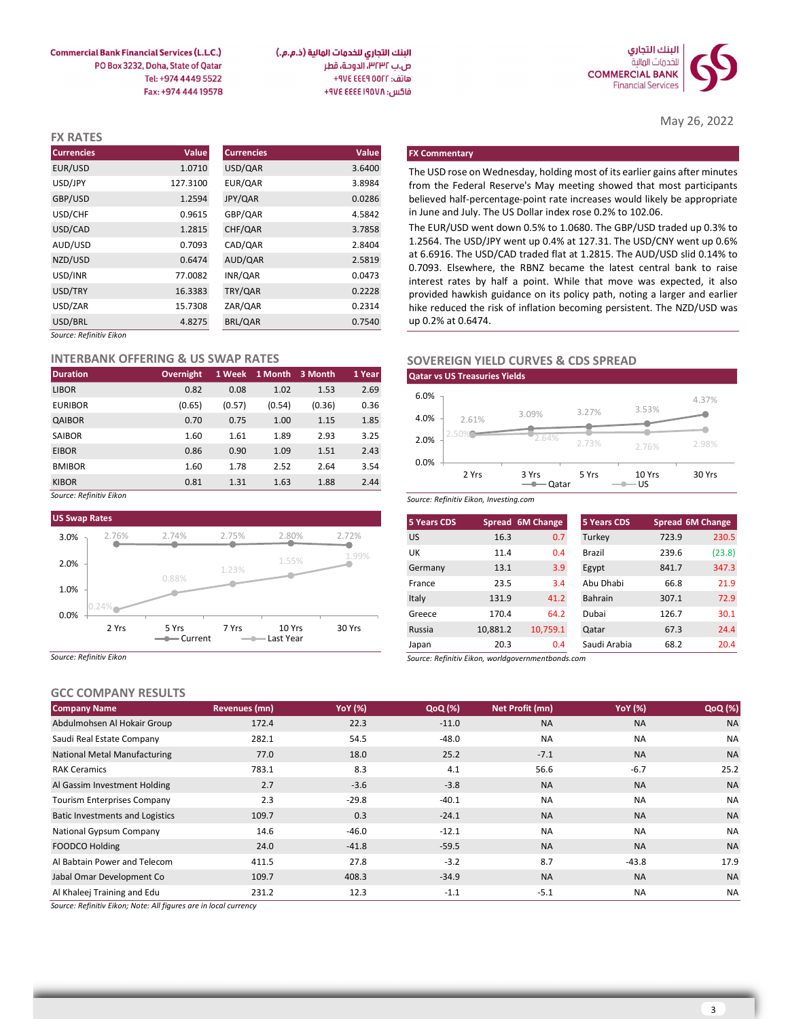

May 26, 2022

البنك التجاري للخدمات المالية (ذ.م.م.) ص.ب ٣٢٣٢، الدوحة، قطر هاتف: ٩٧٤ ٤٤٤٩ ٧٧٤ فاكس: ٩٧٤ ٤٤٤٤ ٤٧٤ +٩٧٤

**Commercial Bank Financial Services (L.L.C.)** PO Box 3232, Doha, State of Qatar Tel: +974 4449 5522 Fax: +974 444 19578

| <b>FX RATES</b>         |          |                   |        |                                                                                                                                              |
|-------------------------|----------|-------------------|--------|----------------------------------------------------------------------------------------------------------------------------------------------|
| <b>Currencies</b>       | Value    | <b>Currencies</b> | Value  | <b>FX Commentary</b>                                                                                                                         |
| EUR/USD                 | 1.0710   | USD/QAR           | 3.6400 | The USD rose on Wednesday, holding most of its earlier gains after minutes                                                                   |
| USD/JPY                 | 127.3100 | EUR/QAR           | 3.8984 | from the Federal Reserve's May meeting showed that most participants                                                                         |
| GBP/USD                 | 1.2594   | JPY/QAR           | 0.0286 | believed half-percentage-point rate increases would likely be appropriate                                                                    |
| USD/CHF                 | 0.9615   | GBP/QAR           | 4.5842 | in June and July. The US Dollar index rose 0.2% to 102.06.                                                                                   |
| USD/CAD                 | 1.2815   | CHF/QAR           | 3.7858 | The EUR/USD went down 0.5% to 1.0680. The GBP/USD traded up 0.3% to                                                                          |
| AUD/USD                 | 0.7093   | CAD/QAR           | 2.8404 | 1.2564. The USD/JPY went up 0.4% at 127.31. The USD/CNY went up 0.6%                                                                         |
| NZD/USD                 | 0.6474   | AUD/QAR           | 2.5819 | at 6.6916. The USD/CAD traded flat at 1.2815. The AUD/USD slid 0.14% to                                                                      |
| USD/INR                 | 77.0082  | INR/QAR           | 0.0473 | 0.7093. Elsewhere, the RBNZ became the latest central bank to raise<br>interest rates by half a point. While that move was expected, it also |
| USD/TRY                 | 16.3383  | TRY/QAR           | 0.2228 | provided hawkish guidance on its policy path, noting a larger and earlier                                                                    |
| USD/ZAR                 | 15.7308  | ZAR/QAR           | 0.2314 | hike reduced the risk of inflation becoming persistent. The NZD/USD was                                                                      |
| USD/BRL                 | 4.8275   | BRL/QAR           | 0.7540 | up 0.2% at 0.6474.                                                                                                                           |
| Source: Refinitiv Eikon |          |                   |        |                                                                                                                                              |

#### INTERBANK OFFERING & US SWAP RATES

| <b>Duration</b> | Overnight |        | 1 Week 1 Month 3 Month |        | 1 Year |
|-----------------|-----------|--------|------------------------|--------|--------|
| <b>LIBOR</b>    | 0.82      | 0.08   | 1.02                   | 1.53   | 2.69   |
| <b>EURIBOR</b>  | (0.65)    | (0.57) | (0.54)                 | (0.36) | 0.36   |
| QAIBOR          | 0.70      | 0.75   | 1.00                   | 1.15   | 1.85   |
| SAIBOR          | 1.60      | 1.61   | 1.89                   | 2.93   | 3.25   |
| <b>EIBOR</b>    | 0.86      | 0.90   | 1.09                   | 1.51   | 2.43   |
| <b>BMIBOR</b>   | 1.60      | 1.78   | 2.52                   | 2.64   | 3.54   |
| <b>KIBOR</b>    | 0.81      | 1.31   | 1.63                   | 1.88   | 2.44   |

Source: Refinitiv Eikon



Source: Refinitiv Eikon

# GCC COMPANY RESULTS

| <b>Company Name</b>                    | Revenues (mn) | <b>YoY</b> (%) | QoQ (%) | Net Profit (mn) | <b>YoY</b> (%) | QoQ (%)   |
|----------------------------------------|---------------|----------------|---------|-----------------|----------------|-----------|
| Abdulmohsen Al Hokair Group            | 172.4         | 22.3           | $-11.0$ | <b>NA</b>       | <b>NA</b>      | <b>NA</b> |
| Saudi Real Estate Company              | 282.1         | 54.5           | $-48.0$ | <b>NA</b>       | <b>NA</b>      | <b>NA</b> |
| <b>National Metal Manufacturing</b>    | 77.0          | 18.0           | 25.2    | $-7.1$          | <b>NA</b>      | <b>NA</b> |
| <b>RAK Ceramics</b>                    | 783.1         | 8.3            | 4.1     | 56.6            | $-6.7$         | 25.2      |
| Al Gassim Investment Holding           | 2.7           | $-3.6$         | $-3.8$  | <b>NA</b>       | <b>NA</b>      | <b>NA</b> |
| <b>Tourism Enterprises Company</b>     | 2.3           | $-29.8$        | $-40.1$ | <b>NA</b>       | <b>NA</b>      | <b>NA</b> |
| <b>Batic Investments and Logistics</b> | 109.7         | 0.3            | $-24.1$ | <b>NA</b>       | <b>NA</b>      | <b>NA</b> |
| National Gypsum Company                | 14.6          | $-46.0$        | $-12.1$ | <b>NA</b>       | <b>NA</b>      | <b>NA</b> |
| <b>FOODCO Holding</b>                  | 24.0          | $-41.8$        | $-59.5$ | <b>NA</b>       | <b>NA</b>      | <b>NA</b> |
| Al Babtain Power and Telecom           | 411.5         | 27.8           | $-3.2$  | 8.7             | $-43.8$        | 17.9      |
| Jabal Omar Development Co              | 109.7         | 408.3          | $-34.9$ | <b>NA</b>       | <b>NA</b>      | <b>NA</b> |
| Al Khaleej Training and Edu            | 231.2         | 12.3           | $-1.1$  | $-5.1$          | <b>NA</b>      | NA        |

Source: Refinitiv Eikon; Note: All figures are in local currency

# SOVEREIGN YIELD CURVES & CDS SPREAD



| $\sim$ Allialais Csaus |                                        |                      | 1721                   |        | 222              |                    | 110                                                                                                                                                | <b>NIA</b>              | <b>NIA</b>            |              |                  |
|------------------------|----------------------------------------|----------------------|------------------------|--------|------------------|--------------------|----------------------------------------------------------------------------------------------------------------------------------------------------|-------------------------|-----------------------|--------------|------------------|
| me                     |                                        | <b>Revenues (mn)</b> |                        |        | <b>YoY</b> (%)   | QoQ (%)            |                                                                                                                                                    | Net Profit (mn)         | <b>YoY</b> (%)        |              | QoQ (%)          |
| <b>PANY RESULTS</b>    |                                        |                      |                        |        |                  |                    |                                                                                                                                                    |                         |                       |              |                  |
| Eikon                  |                                        |                      |                        |        |                  | Japan              | Source: Refinitiv Eikon, worldgovernmentbonds.com                                                                                                  |                         |                       |              | 20.4             |
| 2 Yrs                  | 5 Yrs                                  | 7 Yrs                | 10 Yrs<br>- Last Year  |        | 30 Yrs           | Russia             | 10,881.2<br>20.3                                                                                                                                   | 10,759.1<br>0.4         | Qatar<br>Saudi Arabia | 67.3<br>68.2 | 24.4             |
|                        |                                        |                      |                        |        |                  | Greece             | 170.4                                                                                                                                              | 64.2                    | Dubai                 | 126.7        | 30.1             |
|                        |                                        |                      |                        |        |                  | Italy              | 131.9                                                                                                                                              | 41.2                    | Bahrain               | 307.1        | 72.9             |
|                        | 0.88%                                  |                      |                        |        |                  | France             | 23.5                                                                                                                                               | 3.4                     | Abu Dhabi             | 66.8         | 21.9             |
|                        |                                        | 1.23%                |                        |        |                  | Germany            | 13.1                                                                                                                                               | 3.9                     | Egypt                 | 841.7        | 347.3            |
|                        |                                        |                      | 1.55%                  |        | 1.99%            | UK                 | 11.4                                                                                                                                               | 0.4                     | Brazil                | 239.6        | (23.8)           |
| 2.76%                  | 2.74%                                  | 2.75%                | 2.80%                  |        | 2.72%            | <b>US</b>          | 16.3                                                                                                                                               | 0.7                     | Turkey                | 723.9        | 230.5            |
| es                     |                                        |                      |                        |        |                  | <b>5 Years CDS</b> |                                                                                                                                                    | Spread 6M Change        | <b>5 Years CDS</b>    |              | Spread 6M Change |
| Eikon                  |                                        |                      |                        |        |                  |                    | Source: Refinitiv Eikon, Investing.com                                                                                                             |                         |                       |              |                  |
|                        | 0.81                                   | 1.31                 | 1.63                   | 1.88   | 2.44             |                    |                                                                                                                                                    | $\longrightarrow Qatar$ | $-$ US                |              |                  |
|                        | 1.60                                   | 1.78                 | 2.52                   | 2.64   | 3.54             | 0.0%               | 2 Yrs                                                                                                                                              | 3 Yrs                   | 5 Yrs                 | 10 Yrs       | 30 Yrs           |
|                        | 0.86                                   | 0.90                 | 1.09                   | 1.51   | 2.43             |                    |                                                                                                                                                    |                         |                       | 2.76%        | 2.98%            |
|                        | 1.60                                   | 1.61                 | 1.89                   | 2.93   | 3.25             | 2.0%               | 2.50                                                                                                                                               | 2.64%                   | 2.73%                 |              |                  |
|                        | 0.70                                   | 0.75                 | 1.00                   | 1.15   | 1.85             | 4.0%               | 2.61%                                                                                                                                              | 3.09%                   | 3.27%                 |              |                  |
|                        | (0.65)                                 | (0.57)               | (0.54)                 | (0.36) | 0.36             | 6.0%               |                                                                                                                                                    |                         |                       | 3.53%        | 4.37%            |
|                        | 0.82                                   | 0.08                 | 1.02                   | 1.53   | 2.69             |                    |                                                                                                                                                    |                         |                       |              |                  |
|                        | <b>Overnight</b>                       |                      | 1 Week 1 Month 3 Month |        | 1 Year           |                    | <b>Qatar vs US Treasuries Yields</b>                                                                                                               |                         |                       |              |                  |
|                        | <b>IK OFFERING &amp; US SWAP RATES</b> |                      |                        |        |                  |                    | <b>SOVEREIGN YIELD CURVES &amp; CDS SPREAD</b>                                                                                                     |                         |                       |              |                  |
| Gikon                  |                                        |                      |                        |        |                  |                    |                                                                                                                                                    |                         |                       |              |                  |
|                        | 4.8275                                 | BRL/QAR              |                        |        | 0.7540           |                    | up 0.2% at 0.6474.                                                                                                                                 |                         |                       |              |                  |
|                        | 15.7308                                | ZAR/QAR              |                        |        | 0.2314           |                    | hike reduced the risk of inflation becoming persistent. The NZD/USD was                                                                            |                         |                       |              |                  |
|                        | 16.3383                                | TRY/QAR              |                        |        | 0.2228           |                    | interest rates by half a point. While that move was expected, it also<br>provided hawkish guidance on its policy path, noting a larger and earlier |                         |                       |              |                  |
|                        | 77.0082                                | INR/QAR              |                        |        | 0.0473           |                    | 0.7093. Elsewhere, the RBNZ became the latest central bank to raise                                                                                |                         |                       |              |                  |
|                        | 0.6474                                 | AUD/QAR              |                        |        | 2.5819           |                    | at 6.6916. The USD/CAD traded flat at 1.2815. The AUD/USD slid 0.14% to                                                                            |                         |                       |              |                  |
|                        | 1.2815<br>0.7093                       | CHF/QAR<br>CAD/QAR   |                        |        | 3.7858<br>2.8404 |                    | 1.2564. The USD/JPY went up 0.4% at 127.31. The USD/CNY went up 0.6%                                                                               |                         |                       |              |                  |
|                        | 0.9615                                 | GBP/QAR              |                        |        | 4.5842           |                    | in June and July. The US Dollar index rose 0.2% to 102.06.<br>The EUR/USD went down 0.5% to 1.0680. The GBP/USD traded up 0.3% to                  |                         |                       |              |                  |
|                        |                                        |                      |                        |        |                  |                    |                                                                                                                                                    |                         |                       |              |                  |